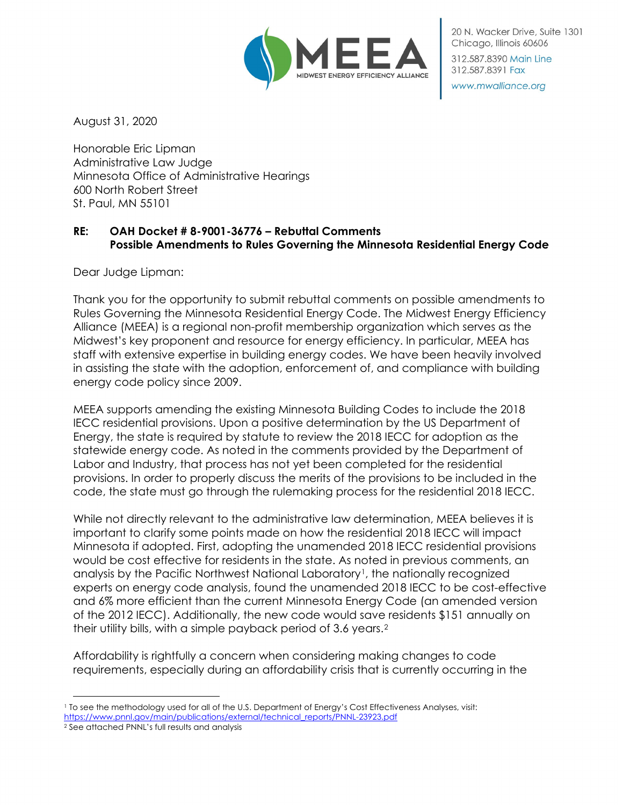

20 N. Wacker Drive, Suite 1301 Chicago, Illinois 60606 312.587.8390 Main Line 312.587.8391 Fax

www.mwalliance.org

August 31, 2020

Honorable Eric Lipman Administrative Law Judge Minnesota Office of Administrative Hearings 600 North Robert Street St. Paul, MN 55101

# **RE: OAH Docket # 8-9001-36776 – Rebuttal Comments Possible Amendments to Rules Governing the Minnesota Residential Energy Code**

Dear Judge Lipman:

Thank you for the opportunity to submit rebuttal comments on possible amendments to Rules Governing the Minnesota Residential Energy Code. The Midwest Energy Efficiency Alliance (MEEA) is a regional non-profit membership organization which serves as the Midwest's key proponent and resource for energy efficiency. In particular, MEEA has staff with extensive expertise in building energy codes. We have been heavily involved in assisting the state with the adoption, enforcement of, and compliance with building energy code policy since 2009.

MEEA supports amending the existing Minnesota Building Codes to include the 2018 IECC residential provisions. Upon a positive determination by the US Department of Energy, the state is required by statute to review the 2018 IECC for adoption as the statewide energy code. As noted in the comments provided by the Department of Labor and Industry, that process has not yet been completed for the residential provisions. In order to properly discuss the merits of the provisions to be included in the code, the state must go through the rulemaking process for the residential 2018 IECC.

While not directly relevant to the administrative law determination, MEEA believes it is important to clarify some points made on how the residential 2018 IECC will impact Minnesota if adopted. First, adopting the unamended 2018 IECC residential provisions would be cost effective for residents in the state. As noted in previous comments, an analysis by the Pacific Northwest National Laboratory<sup>[1](#page-0-0)</sup>, the nationally recognized experts on energy code analysis, found the unamended 2018 IECC to be cost-effective and 6% more efficient than the current Minnesota Energy Code (an amended version of the 2012 IECC). Additionally, the new code would save residents \$151 annually on their utility bills, with a simple payback period of 3.6 years.[2](#page-0-1)

Affordability is rightfully a concern when considering making changes to code requirements, especially during an affordability crisis that is currently occurring in the

<span id="page-0-0"></span><sup>1</sup> To see the methodology used for all of the U.S. Department of Energy's Cost Effectiveness Analyses, visit: [https://www.pnnl.gov/main/publications/external/technical\\_reports/PNNL-23923.pdf](https://www.pnnl.gov/main/publications/external/technical_reports/PNNL-23923.pdf)

<span id="page-0-1"></span><sup>2</sup> See attached PNNL's full results and analysis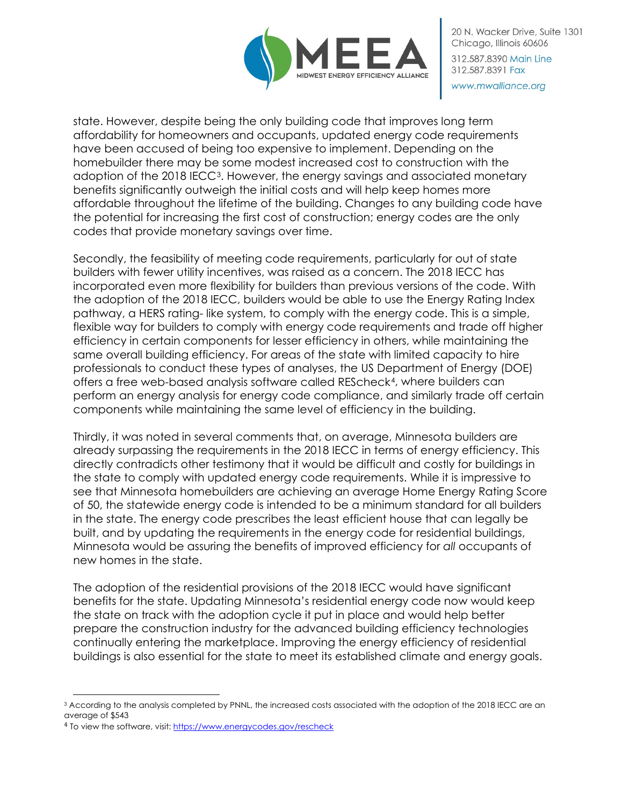

state. However, despite being the only building code that improves long term affordability for homeowners and occupants, updated energy code requirements have been accused of being too expensive to implement. Depending on the homebuilder there may be some modest increased cost to construction with the adoption of the 2018 IECC[3](#page-1-0). However, the energy savings and associated monetary benefits significantly outweigh the initial costs and will help keep homes more affordable throughout the lifetime of the building. Changes to any building code have the potential for increasing the first cost of construction; energy codes are the only codes that provide monetary savings over time.

Secondly, the feasibility of meeting code requirements, particularly for out of state builders with fewer utility incentives, was raised as a concern. The 2018 IECC has incorporated even more flexibility for builders than previous versions of the code. With the adoption of the 2018 IECC, builders would be able to use the Energy Rating Index pathway, a HERS rating- like system, to comply with the energy code. This is a simple, flexible way for builders to comply with energy code requirements and trade off higher efficiency in certain components for lesser efficiency in others, while maintaining the same overall building efficiency. For areas of the state with limited capacity to hire professionals to conduct these types of analyses, the US Department of Energy (DOE) offers a free web-based analysis software called REScheck[4](#page-1-1), where builders can perform an energy analysis for energy code compliance, and similarly trade off certain components while maintaining the same level of efficiency in the building.

Thirdly, it was noted in several comments that, on average, Minnesota builders are already surpassing the requirements in the 2018 IECC in terms of energy efficiency. This directly contradicts other testimony that it would be difficult and costly for buildings in the state to comply with updated energy code requirements. While it is impressive to see that Minnesota homebuilders are achieving an average Home Energy Rating Score of 50, the statewide energy code is intended to be a minimum standard for all builders in the state. The energy code prescribes the least efficient house that can legally be built, and by updating the requirements in the energy code for residential buildings, Minnesota would be assuring the benefits of improved efficiency for *all* occupants of new homes in the state.

The adoption of the residential provisions of the 2018 IECC would have significant benefits for the state. Updating Minnesota's residential energy code now would keep the state on track with the adoption cycle it put in place and would help better prepare the construction industry for the advanced building efficiency technologies continually entering the marketplace. Improving the energy efficiency of residential buildings is also essential for the state to meet its established climate and energy goals.

<span id="page-1-0"></span><sup>&</sup>lt;sup>3</sup> According to the analysis completed by PNNL, the increased costs associated with the adoption of the 2018 IECC are an average of \$543

<span id="page-1-1"></span><sup>&</sup>lt;sup>4</sup> To view the software, visit[: https://www.energycodes.gov/rescheck](https://www.energycodes.gov/rescheck)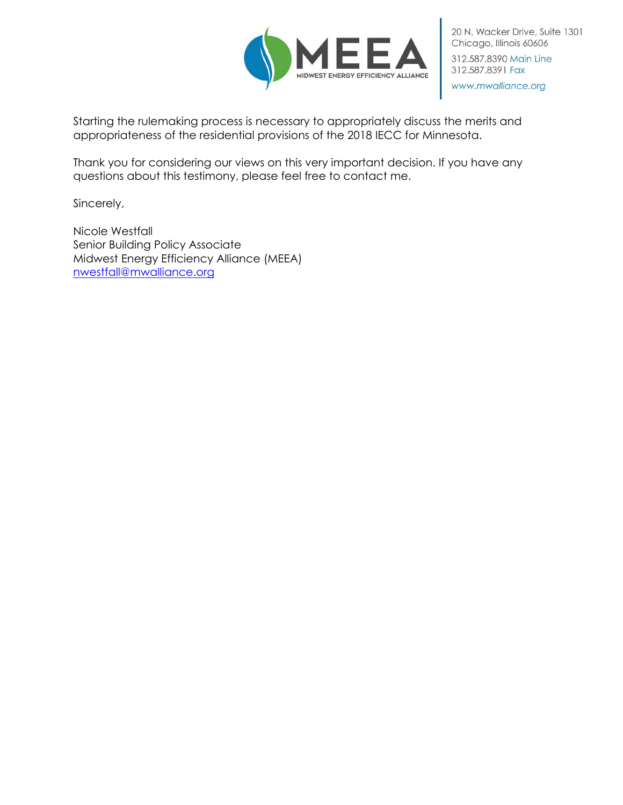

Starting the rulemaking process is necessary to appropriately discuss the merits and appropriateness of the residential provisions of the 2018 IECC for Minnesota.

Thank you for considering our views on this very important decision. If you have any questions about this testimony, please feel free to contact me.

Sincerely,

Nicole Westfall Senior Building Policy Associate Midwest Energy Efficiency Alliance (MEEA) [nwestfall@mwalliance.org](mailto:nwestfall@mwalliance.org)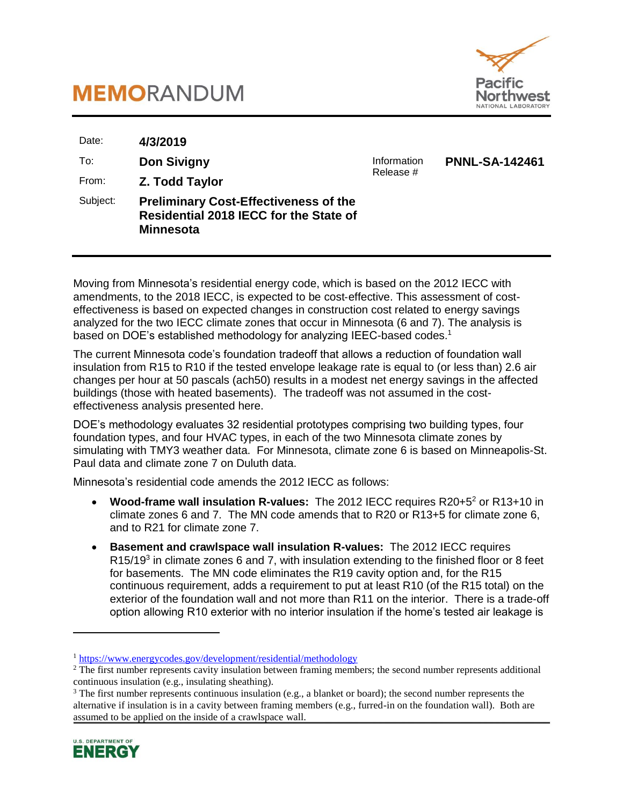



| Date:    | 4/3/2019                                                                                                   |             |                       |
|----------|------------------------------------------------------------------------------------------------------------|-------------|-----------------------|
| To:      | <b>Don Sivigny</b>                                                                                         | Information | <b>PNNL-SA-142461</b> |
| From:    | Z. Todd Taylor                                                                                             | Release #   |                       |
| Subject: | <b>Preliminary Cost-Effectiveness of the</b><br>Residential 2018 IECC for the State of<br><b>Minnesota</b> |             |                       |

Moving from Minnesota's residential energy code, which is based on the 2012 IECC with amendments, to the 2018 IECC, is expected to be cost-effective. This assessment of costeffectiveness is based on expected changes in construction cost related to energy savings analyzed for the two IECC climate zones that occur in Minnesota (6 and 7). The analysis is based on DOE's established methodology for analyzing IEEC-based codes.<sup>1</sup>

The current Minnesota code's foundation tradeoff that allows a reduction of foundation wall insulation from R15 to R10 if the tested envelope leakage rate is equal to (or less than) 2.6 air changes per hour at 50 pascals (ach50) results in a modest net energy savings in the affected buildings (those with heated basements). The tradeoff was not assumed in the costeffectiveness analysis presented here.

DOE's methodology evaluates 32 residential prototypes comprising two building types, four foundation types, and four HVAC types, in each of the two Minnesota climate zones by simulating with TMY3 weather data. For Minnesota, climate zone 6 is based on Minneapolis-St. Paul data and climate zone 7 on Duluth data.

Minnesota's residential code amends the 2012 IECC as follows:

- Wood-frame wall insulation R-values: The 2012 IECC requires R20+5<sup>2</sup> or R13+10 in climate zones 6 and 7. The MN code amends that to R20 or R13+5 for climate zone 6, and to R21 for climate zone 7.
- **Basement and crawlspace wall insulation R-values:** The 2012 IECC requires R15/19<sup>3</sup> in climate zones 6 and 7, with insulation extending to the finished floor or 8 feet for basements. The MN code eliminates the R19 cavity option and, for the R15 continuous requirement, adds a requirement to put at least R10 (of the R15 total) on the exterior of the foundation wall and not more than R11 on the interior. There is a trade-off option allowing R10 exterior with no interior insulation if the home's tested air leakage is

<sup>&</sup>lt;sup>3</sup> The first number represents continuous insulation (e.g., a blanket or board); the second number represents the alternative if insulation is in a cavity between framing members (e.g., furred-in on the foundation wall). Both are assumed to be applied on the inside of a crawlspace wall.



 $\overline{a}$ 

<sup>1</sup> <https://www.energycodes.gov/development/residential/methodology>

<sup>&</sup>lt;sup>2</sup> The first number represents cavity insulation between framing members; the second number represents additional continuous insulation (e.g., insulating sheathing).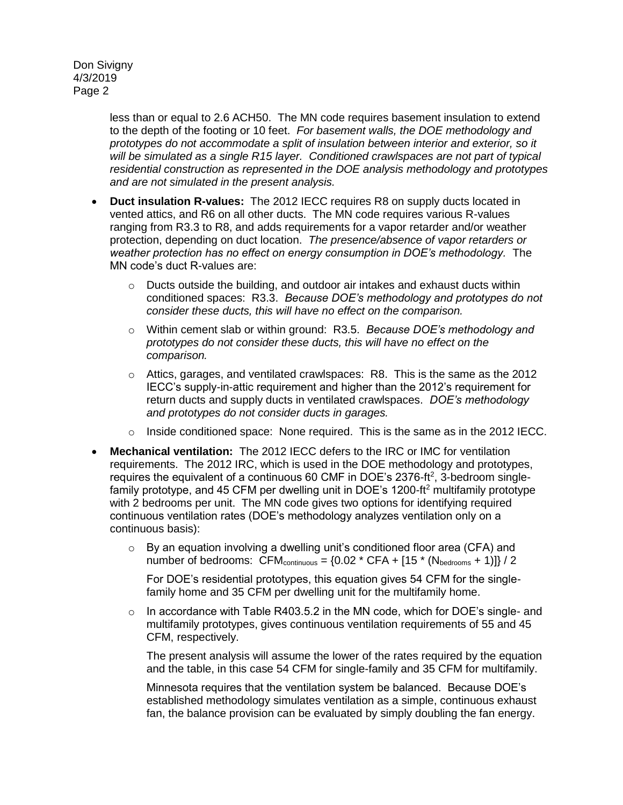> less than or equal to 2.6 ACH50. The MN code requires basement insulation to extend to the depth of the footing or 10 feet. *For basement walls, the DOE methodology and prototypes do not accommodate a split of insulation between interior and exterior, so it will be simulated as a single R15 layer. Conditioned crawlspaces are not part of typical residential construction as represented in the DOE analysis methodology and prototypes and are not simulated in the present analysis.*

- **Duct insulation R-values:** The 2012 IECC requires R8 on supply ducts located in vented attics, and R6 on all other ducts. The MN code requires various R-values ranging from R3.3 to R8, and adds requirements for a vapor retarder and/or weather protection, depending on duct location. *The presence/absence of vapor retarders or weather protection has no effect on energy consumption in DOE's methodology.* The MN code's duct R-values are:
	- o Ducts outside the building, and outdoor air intakes and exhaust ducts within conditioned spaces: R3.3. *Because DOE's methodology and prototypes do not consider these ducts, this will have no effect on the comparison.*
	- o Within cement slab or within ground: R3.5. *Because DOE's methodology and prototypes do not consider these ducts, this will have no effect on the comparison.*
	- o Attics, garages, and ventilated crawlspaces: R8. This is the same as the 2012 IECC's supply-in-attic requirement and higher than the 2012's requirement for return ducts and supply ducts in ventilated crawlspaces. *DOE's methodology and prototypes do not consider ducts in garages.*
	- $\circ$  Inside conditioned space: None required. This is the same as in the 2012 IECC.
- **Mechanical ventilation:** The 2012 IECC defers to the IRC or IMC for ventilation requirements. The 2012 IRC, which is used in the DOE methodology and prototypes, requires the equivalent of a continuous 60 CMF in DOE's 2376-ft<sup>2</sup>, 3-bedroom singlefamily prototype, and 45 CFM per dwelling unit in DOE's 1200-ft<sup>2</sup> multifamily prototype with 2 bedrooms per unit. The MN code gives two options for identifying required continuous ventilation rates (DOE's methodology analyzes ventilation only on a continuous basis):
	- o By an equation involving a dwelling unit's conditioned floor area (CFA) and number of bedrooms:  $CFM_{\text{continuous}} = \{0.02 \times CFA + [15 \times (N_{\text{bedrooms}} + 1)]\} / 2$

For DOE's residential prototypes, this equation gives 54 CFM for the singlefamily home and 35 CFM per dwelling unit for the multifamily home.

 $\circ$  In accordance with Table R403.5.2 in the MN code, which for DOE's single- and multifamily prototypes, gives continuous ventilation requirements of 55 and 45 CFM, respectively.

The present analysis will assume the lower of the rates required by the equation and the table, in this case 54 CFM for single-family and 35 CFM for multifamily.

Minnesota requires that the ventilation system be balanced. Because DOE's established methodology simulates ventilation as a simple, continuous exhaust fan, the balance provision can be evaluated by simply doubling the fan energy.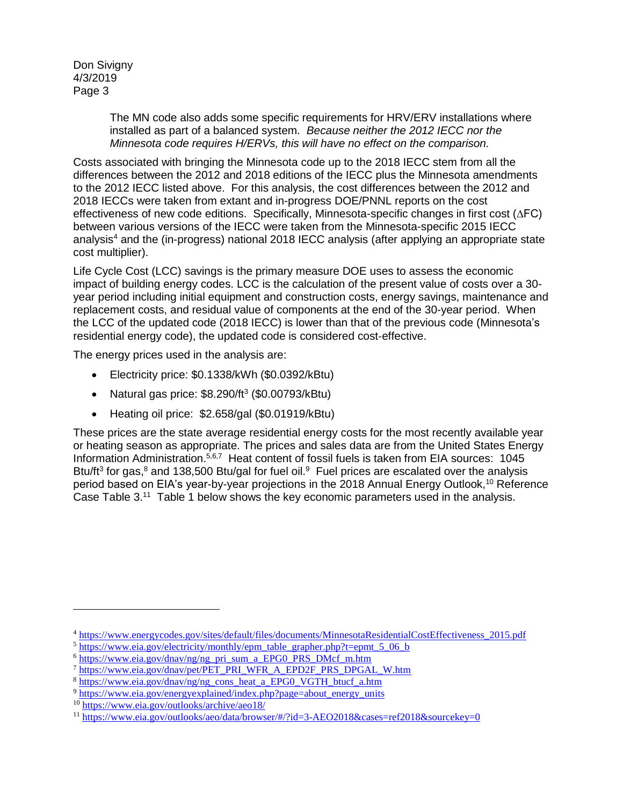> The MN code also adds some specific requirements for HRV/ERV installations where installed as part of a balanced system. *Because neither the 2012 IECC nor the Minnesota code requires H/ERVs, this will have no effect on the comparison.*

Costs associated with bringing the Minnesota code up to the 2018 IECC stem from all the differences between the 2012 and 2018 editions of the IECC plus the Minnesota amendments to the 2012 IECC listed above. For this analysis, the cost differences between the 2012 and 2018 IECCs were taken from extant and in-progress DOE/PNNL reports on the cost effectiveness of new code editions. Specifically, Minnesota-specific changes in first cost (∆FC) between various versions of the IECC were taken from the Minnesota-specific 2015 IECC analysis<sup>4</sup> and the (in-progress) national 2018 IECC analysis (after applying an appropriate state cost multiplier).

Life Cycle Cost (LCC) savings is the primary measure DOE uses to assess the economic impact of building energy codes. LCC is the calculation of the present value of costs over a 30 year period including initial equipment and construction costs, energy savings, maintenance and replacement costs, and residual value of components at the end of the 30-year period. When the LCC of the updated code (2018 IECC) is lower than that of the previous code (Minnesota's residential energy code), the updated code is considered cost-effective.

The energy prices used in the analysis are:

- Electricity price: \$0.1338/kWh (\$0.0392/kBtu)
- Natural gas price:  $$8.290/ft^3$  (\$0.00793/kBtu)
- Heating oil price: \$2.658/gal (\$0.01919/kBtu)

These prices are the state average residential energy costs for the most recently available year or heating season as appropriate. The prices and sales data are from the United States Energy Information Administration.<sup>5,6,7</sup> Heat content of fossil fuels is taken from EIA sources: 1045 Btu/ft<sup>3</sup> for gas,<sup>8</sup> and 138,500 Btu/gal for fuel oil.<sup>9</sup> Fuel prices are escalated over the analysis period based on EIA's year-by-year projections in the 2018 Annual Energy Outlook,<sup>10</sup> Reference Case Table 3.<sup>11</sup> Table 1 below shows the key economic parameters used in the analysis.

 $\overline{a}$ 

<sup>4</sup> [https://www.energycodes.gov/sites/default/files/documents/MinnesotaResidentialCostEffectiveness\\_2015.pdf](https://www.energycodes.gov/sites/default/files/documents/MinnesotaResidentialCostEffectiveness_2015.pdf)

 $5 \text{ https://www.eia.gov/electricity/monthly/epm}$  table grapher.php?t=epmt 5 06 b

<sup>6</sup> [https://www.eia.gov/dnav/ng/ng\\_pri\\_sum\\_a\\_EPG0\\_PRS\\_DMcf\\_m.htm](https://www.eia.gov/dnav/ng/ng_pri_sum_a_EPG0_PRS_DMcf_m.htm)

<sup>7</sup> [https://www.eia.gov/dnav/pet/PET\\_PRI\\_WFR\\_A\\_EPD2F\\_PRS\\_DPGAL\\_W.htm](https://www.eia.gov/dnav/pet/PET_PRI_WFR_A_EPD2F_PRS_DPGAL_W.htm)

<sup>8</sup> [https://www.eia.gov/dnav/ng/ng\\_cons\\_heat\\_a\\_EPG0\\_VGTH\\_btucf\\_a.htm](https://www.eia.gov/dnav/ng/ng_cons_heat_a_EPG0_VGTH_btucf_a.htm)

<sup>&</sup>lt;sup>9</sup> [https://www.eia.gov/energyexplained/index.php?page=about\\_energy\\_units](https://www.eia.gov/energyexplained/index.php?page=about_energy_units)

<sup>&</sup>lt;sup>10</sup> <https://www.eia.gov/outlooks/archive/aeo18/>

<sup>&</sup>lt;sup>11</sup> <https://www.eia.gov/outlooks/aeo/data/browser/#/?id=3-AEO2018&cases=ref2018&sourcekey=0>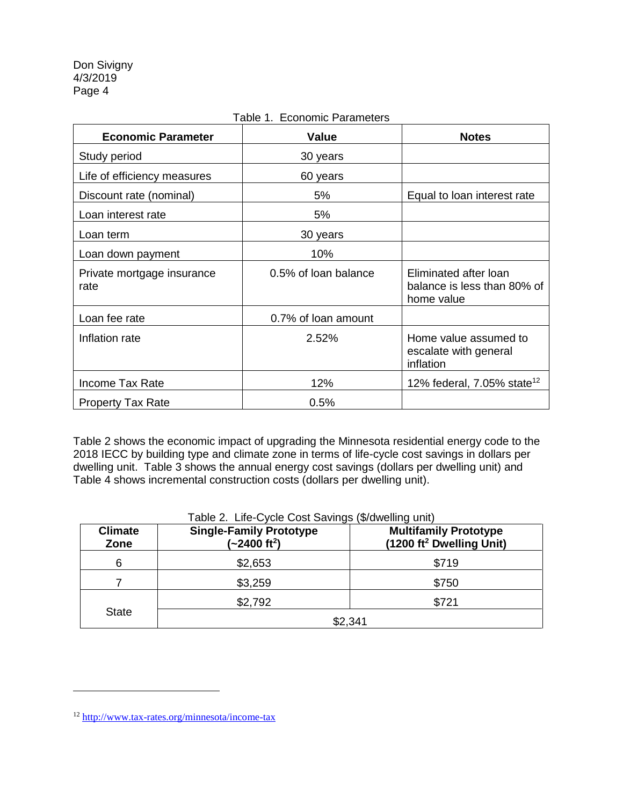| <b>Economic Parameter</b>          | Value                | <b>Notes</b>                                                       |
|------------------------------------|----------------------|--------------------------------------------------------------------|
| Study period                       | 30 years             |                                                                    |
| Life of efficiency measures        | 60 years             |                                                                    |
| Discount rate (nominal)            | 5%                   | Equal to loan interest rate                                        |
| Loan interest rate                 | 5%                   |                                                                    |
| Loan term                          | 30 years             |                                                                    |
| Loan down payment                  | 10%                  |                                                                    |
| Private mortgage insurance<br>rate | 0.5% of loan balance | Eliminated after loan<br>balance is less than 80% of<br>home value |
| Loan fee rate                      | 0.7% of loan amount  |                                                                    |
| Inflation rate                     | 2.52%                | Home value assumed to<br>escalate with general<br>inflation        |
| <b>Income Tax Rate</b>             | 12%                  | 12% federal, 7.05% state <sup>12</sup>                             |
| <b>Property Tax Rate</b>           | 0.5%                 |                                                                    |

### Table 1. Economic Parameters

Table 2 shows the economic impact of upgrading the Minnesota residential energy code to the 2018 IECC by building type and climate zone in terms of life-cycle cost savings in dollars per dwelling unit. Table 3 shows the annual energy cost savings (dollars per dwelling unit) and Table 4 shows incremental construction costs (dollars per dwelling unit).

| <b>Climate</b><br>Zone | <b>Single-Family Prototype</b><br>$(-2400 ft2)$ | <b>Multifamily Prototype</b><br>(1200 ft <sup>2</sup> Dwelling Unit) |  |  |  |
|------------------------|-------------------------------------------------|----------------------------------------------------------------------|--|--|--|
| 6                      | \$2,653                                         | \$719                                                                |  |  |  |
|                        | \$3,259                                         | \$750                                                                |  |  |  |
|                        | \$2,792                                         | \$721                                                                |  |  |  |
| <b>State</b>           | \$2,341                                         |                                                                      |  |  |  |

 $\overline{a}$ 

<sup>12</sup> <http://www.tax-rates.org/minnesota/income-tax>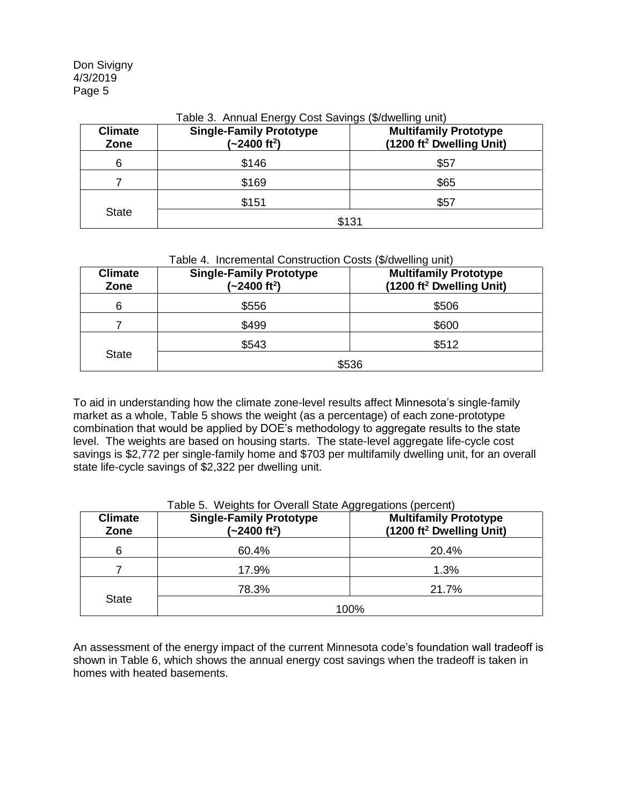| <b>Climate</b><br>Zone | <b>Single-Family Prototype</b><br><b>Multifamily Prototype</b><br>(1200 ft <sup>2</sup> Dwelling Unit)<br>$(-2400 ft2)$ |       |  |  |  |  |  |  |
|------------------------|-------------------------------------------------------------------------------------------------------------------------|-------|--|--|--|--|--|--|
| 6                      | \$146                                                                                                                   | \$57  |  |  |  |  |  |  |
|                        | \$169                                                                                                                   | \$65  |  |  |  |  |  |  |
| <b>State</b>           | \$151<br>\$57                                                                                                           |       |  |  |  |  |  |  |
|                        |                                                                                                                         | \$131 |  |  |  |  |  |  |

### Table 3. Annual Energy Cost Savings (\$/dwelling unit)

| Table 4. Incremental Construction Costs (\$/dwelling unit) |  |  |  |  |  |  |
|------------------------------------------------------------|--|--|--|--|--|--|
|------------------------------------------------------------|--|--|--|--|--|--|

| <b>Climate</b><br>Zone | <b>Single-Family Prototype</b><br>$(-2400 ft2)$ | <b>Multifamily Prototype</b><br>(1200 ft <sup>2</sup> Dwelling Unit) |  |  |  |  |
|------------------------|-------------------------------------------------|----------------------------------------------------------------------|--|--|--|--|
| 6                      | \$556                                           | \$506                                                                |  |  |  |  |
|                        | \$499                                           | \$600                                                                |  |  |  |  |
|                        | \$543                                           | \$512                                                                |  |  |  |  |
| <b>State</b>           | \$536                                           |                                                                      |  |  |  |  |

To aid in understanding how the climate zone-level results affect Minnesota's single-family market as a whole, Table 5 shows the weight (as a percentage) of each zone-prototype combination that would be applied by DOE's methodology to aggregate results to the state level. The weights are based on housing starts. The state-level aggregate life-cycle cost savings is \$2,772 per single-family home and \$703 per multifamily dwelling unit, for an overall state life-cycle savings of \$2,322 per dwelling unit.

| <b>Climate</b><br>Zone | <b>Single-Family Prototype</b><br>$(-2400 ft2)$ | <b>Multifamily Prototype</b><br>(1200 ft <sup>2</sup> Dwelling Unit) |  |  |  |  |
|------------------------|-------------------------------------------------|----------------------------------------------------------------------|--|--|--|--|
| 6                      | 60.4%                                           | 20.4%                                                                |  |  |  |  |
|                        | 17.9%                                           | 1.3%                                                                 |  |  |  |  |
|                        | 78.3%<br>21.7%                                  |                                                                      |  |  |  |  |
| <b>State</b>           | 100%                                            |                                                                      |  |  |  |  |

## Table 5. Weights for Overall State Aggregations (percent)

An assessment of the energy impact of the current Minnesota code's foundation wall tradeoff is shown in Table 6, which shows the annual energy cost savings when the tradeoff is taken in homes with heated basements.